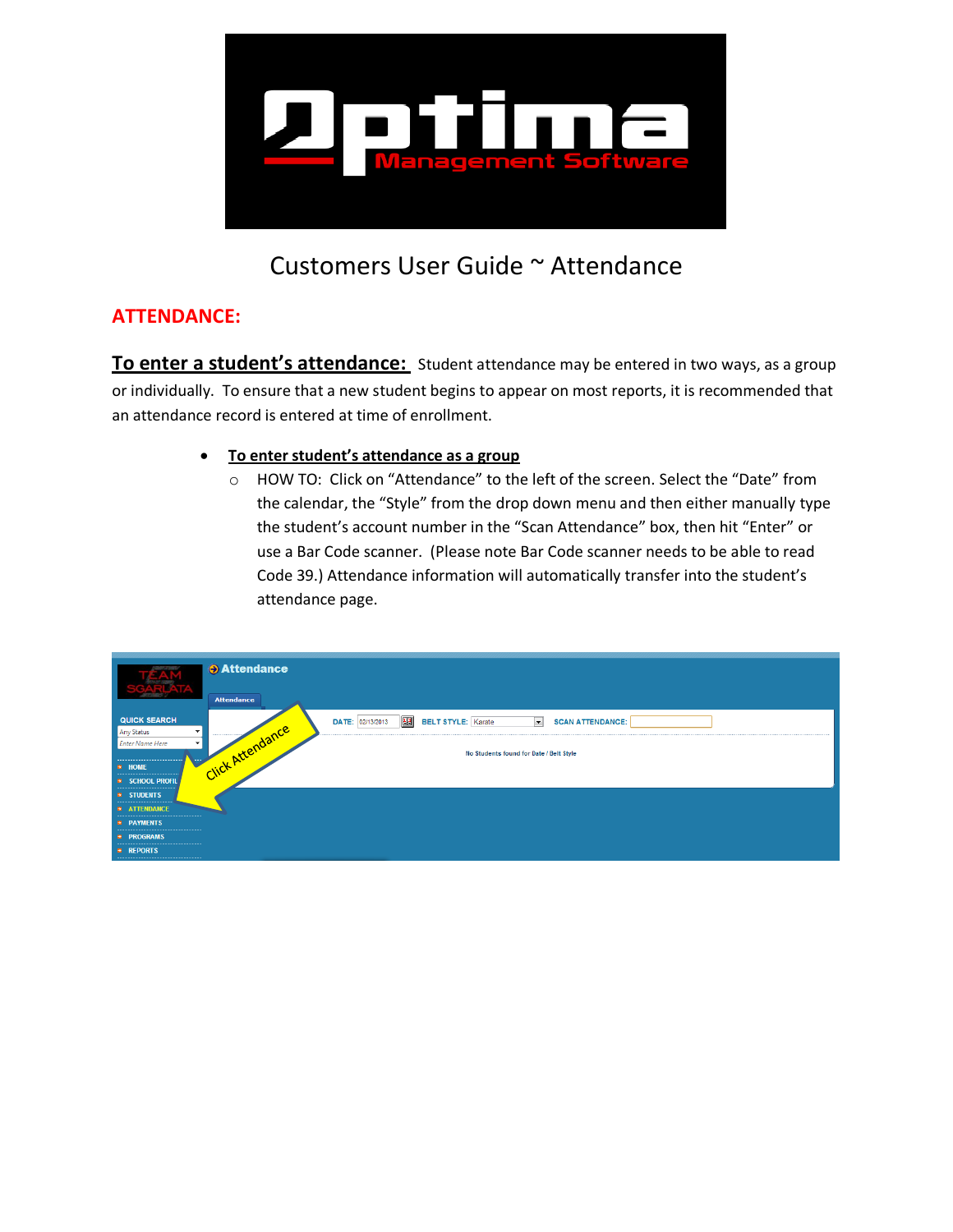

# Customers User Guide ~ Attendance

# **ATTENDANCE:**

To enter a student's attendance: Student attendance may be entered in two ways, as a group or individually. To ensure that a new student begins to appear on most reports, it is recommended that an attendance record is entered at time of enrollment.

- **To enter student's attendance as a group**
	- o HOW TO: Click on "Attendance" to the left of the screen. Select the "Date" from the calendar, the "Style" from the drop down menu and then either manually type the student's account number in the "Scan Attendance" box, then hit "Enter" or use a Bar Code scanner. (Please note Bar Code scanner needs to be able to read Code 39.) Attendance information will automatically transfer into the student's attendance page.